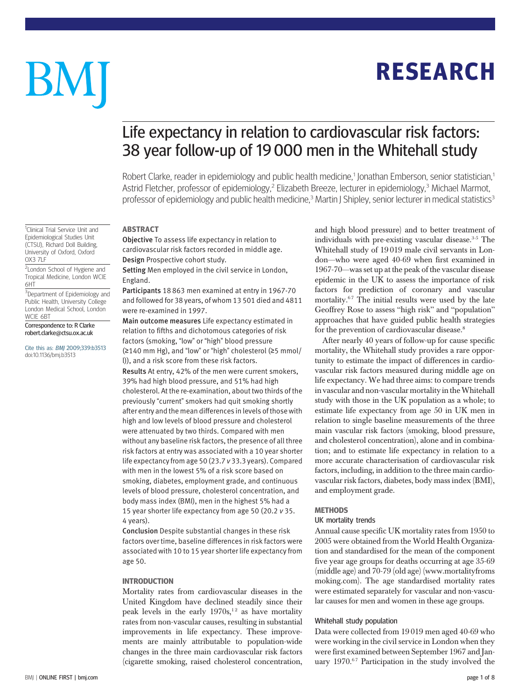## RESEARCH

# BM

### Life expectancy in relation to cardiovascular risk factors: 38 year follow-up of 19 000 men in the Whitehall study

Robert Clarke, reader in epidemiology and public health medicine,<sup>1</sup> Jonathan Emberson, senior statistician,<sup>1</sup> Astrid Fletcher, professor of epidemiology,<sup>2</sup> Elizabeth Breeze, lecturer in epidemiology,<sup>3</sup> Michael Marmot, professor of epidemiology and public health medicine,<sup>3</sup> Martin J Shipley, senior lecturer in medical statistics<sup>3</sup>

#### ABSTRACT

Objective To assess life expectancy in relation to cardiovascular risk factors recorded in middle age. Design Prospective cohort study.

Setting Men employed in the civil service in London, England.

Participants 18 863 men examined at entry in 1967-70 and followed for 38 years, of whom 13 501 died and 4811 were re-examined in 1997.

Main outcome measures Life expectancy estimated in relation to fifths and dichotomous categories of risk factors (smoking, "low" or "high" blood pressure (≥140 mm Hg), and "low" or "high" cholesterol (≥5 mmol/ l)), and a risk score from these risk factors.

Results At entry, 42% of the men were current smokers, 39% had high blood pressure, and 51% had high cholesterol. At the re-examination, about two thirds of the previously "current" smokers had quit smoking shortly after entry and the mean differences in levels of those with high and low levels of blood pressure and cholesterol were attenuated by two thirds. Compared with men without any baseline risk factors, the presence of all three risk factors at entry was associated with a 10 year shorter life expectancy from age 50 (23.7 v 33.3 years). Compared with men in the lowest 5% of a risk score based on smoking, diabetes, employment grade, and continuous levels of blood pressure, cholesterol concentration, and body mass index (BMI), men in the highest 5% had a 15 year shorter life expectancy from age 50 (20.2 v 35. 4 years).

Conclusion Despite substantial changes in these risk factors over time, baseline differences in risk factors were associated with 10 to 15 year shorter life expectancy from age 50.

#### INTRODUCTION

Mortality rates from cardiovascular diseases in the United Kingdom have declined steadily since their peak levels in the early  $1970s$ ,<sup>12</sup> as have mortality rates from non-vascular causes, resulting in substantial improvements in life expectancy. These improvements are mainly attributable to population-wide changes in the three main cardiovascular risk factors (cigarette smoking, raised cholesterol concentration, and high blood pressure) and to better treatment of individuals with pre-existing vascular disease.<sup>3-5</sup> The Whitehall study of 19 019 male civil servants in London—who were aged 40-69 when first examined in 1967-70—was set up at the peak of the vascular disease epidemic in the UK to assess the importance of risk factors for prediction of coronary and vascular mortality.<sup>67</sup> The initial results were used by the late Geoffrey Rose to assess "high risk" and "population" approaches that have guided public health strategies for the prevention of cardiovascular disease.<sup>8</sup>

After nearly 40 years of follow-up for cause specific mortality, the Whitehall study provides a rare opportunity to estimate the impact of differences in cardiovascular risk factors measured during middle age on life expectancy. We had three aims: to compare trends in vascular and non-vascular mortality in theWhitehall study with those in the UK population as a whole; to estimate life expectancy from age 50 in UK men in relation to single baseline measurements of the three main vascular risk factors (smoking, blood pressure, and cholesterol concentration), alone and in combination; and to estimate life expectancy in relation to a more accurate characterisation of cardiovascular risk factors, including, in addition to the three main cardiovascular risk factors, diabetes, body mass index (BMI), and employment grade.

#### **METHODS**

#### UK mortality trends

Annual cause specific UK mortality rates from 1950 to 2005 were obtained from the World Health Organization and standardised for the mean of the component five year age groups for deaths occurring at age 35-69 (middle age) and 70-79 (old age) (www.mortalityfroms moking.com). The age standardised mortality rates were estimated separately for vascular and non-vascular causes for men and women in these age groups.

#### Whitehall study population

Data were collected from 19 019 men aged 40-69 who were working in the civil service in London when they were first examined between September 1967 and January  $1970.^{67}$  Participation in the study involved the

<sup>1</sup>Clinical Trial Service Unit and Epidemiological Studies Unit (CTSU), Richard Doll Building, University of Oxford, Oxford OX3 7LF

<sup>2</sup> London School of Hygiene and Tropical Medicine, London WCIE 6HT

<sup>3</sup>Department of Epidemiology and Public Health, University College London Medical School, London WCIE 6BT

Correspondence to: R Clarke robert.clarke@ctsu.ox.ac.uk

Cite this as: BMJ 2009;339:b3513 doi:10.1136/bmj.b3513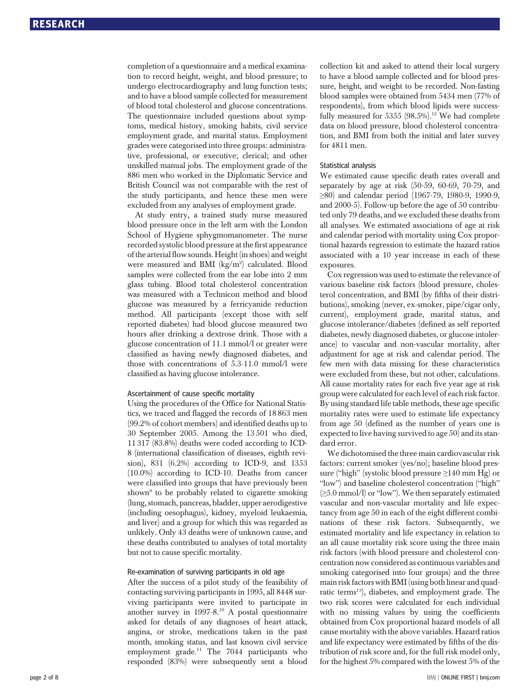completion of a questionnaire and a medical examination to record height, weight, and blood pressure; to undergo electrocardiography and lung function tests; and to have a blood sample collected for measurement of blood total cholesterol and glucose concentrations. The questionnaire included questions about symptoms, medical history, smoking habits, civil service employment grade, and marital status. Employment grades were categorised into three groups: administrative, professional, or executive; clerical; and other unskilled manual jobs. The employment grade of the 886 men who worked in the Diplomatic Service and British Council was not comparable with the rest of the study participants, and hence these men were excluded from any analyses of employment grade.

At study entry, a trained study nurse measured blood pressure once in the left arm with the London School of Hygiene sphygmomanometer. The nurse recorded systolic blood pressure at the first appearance of the arterial flow sounds. Height (in shoes) and weight were measured and BMI (kg/m<sup>2</sup>) calculated. Blood samples were collected from the ear lobe into 2 mm glass tubing. Blood total cholesterol concentration was measured with a Technicon method and blood glucose was measured by a ferricyanide reduction method. All participants (except those with self reported diabetes) had blood glucose measured two hours after drinking a dextrose drink. Those with a glucose concentration of 11.1 mmol/l or greater were classified as having newly diagnosed diabetes, and those with concentrations of 5.3-11.0 mmol/l were classified as having glucose intolerance.

#### Ascertainment of cause specific mortality

Using the procedures of the Office for National Statistics, we traced and flagged the records of 18 863 men (99.2% of cohort members) and identified deaths up to 30 September 2005. Among the 13 501 who died, 11 317 (83.8%) deaths were coded according to ICD-8 (international classification of diseases, eighth revision), 831 (6.2%) according to ICD-9, and 1353 (10.0%) according to ICD-10. Deaths from cancer were classified into groups that have previously been shown<sup>9</sup> to be probably related to cigarette smoking (lung, stomach, pancreas, bladder, upper aerodigestive (including oesophagus), kidney, myeloid leukaemia, and liver) and a group for which this was regarded as unlikely. Only 43 deaths were of unknown cause, and these deaths contributed to analyses of total mortality but not to cause specific mortality.

#### Re-examination of surviving participants in old age

After the success of a pilot study of the feasibility of contacting surviving participants in 1995, all 8448 surviving participants were invited to participate in another survey in 1997-8.10 A postal questionnaire asked for details of any diagnoses of heart attack, angina, or stroke, medications taken in the past month, smoking status, and last known civil service employment grade.<sup>11</sup> The 7044 participants who responded (83%) were subsequently sent a blood collection kit and asked to attend their local surgery to have a blood sample collected and for blood pressure, height, and weight to be recorded. Non-fasting blood samples were obtained from 5434 men (77% of respondents), from which blood lipids were successfully measured for 5355  $(98.5\%)$ .<sup>12</sup> We had complete data on blood pressure, blood cholesterol concentration, and BMI from both the initial and later survey for 4811 men.

#### Statistical analysis

We estimated cause specific death rates overall and separately by age at risk (50-59, 60-69, 70-79, and ≥80) and calendar period (1967-79, 1980-9, 1990-9, and 2000-5). Follow-up before the age of 50 contributed only 79 deaths, and we excluded these deaths from all analyses. We estimated associations of age at risk and calendar period with mortality using Cox proportional hazards regression to estimate the hazard ratios associated with a 10 year increase in each of these exposures.

Cox regression was used to estimate the relevance of various baseline risk factors (blood pressure, cholesterol concentration, and BMI (by fifths of their distributions), smoking (never, ex-smoker, pipe/cigar only, current), employment grade, marital status, and glucose intolerance/diabetes (defined as self reported diabetes, newly diagnosed diabetes, or glucose intolerance) to vascular and non-vascular mortality, after adjustment for age at risk and calendar period. The few men with data missing for these characteristics were excluded from these, but not other, calculations. All cause mortality rates for each five year age at risk group were calculated for each level of each risk factor. By using standard life table methods, these age specific mortality rates were used to estimate life expectancy from age 50 (defined as the number of years one is expected to live having survived to age 50) and its standard error.

We dichotomised the three main cardiovascular risk factors: current smoker (yes/no); baseline blood pressure ("high" (systolic blood pressure ≥140 mm Hg) or "low") and baseline cholesterol concentration ("high" (≥5.0 mmol/l) or "low"). We then separately estimated vascular and non-vascular mortality and life expectancy from age 50 in each of the eight different combinations of these risk factors. Subsequently, we estimated mortality and life expectancy in relation to an all cause mortality risk score using the three main risk factors (with blood pressure and cholesterol concentration now considered as continuous variables and smoking categorised into four groups) and the three main risk factors with BMI (using both linear and quadratic terms<sup>13</sup>), diabetes, and employment grade. The two risk scores were calculated for each individual with no missing values by using the coefficients obtained from Cox proportional hazard models of all cause mortality with the above variables. Hazard ratios and life expectancy were estimated by fifths of the distribution of risk score and, for the full risk model only, for the highest 5% compared with the lowest 5% of the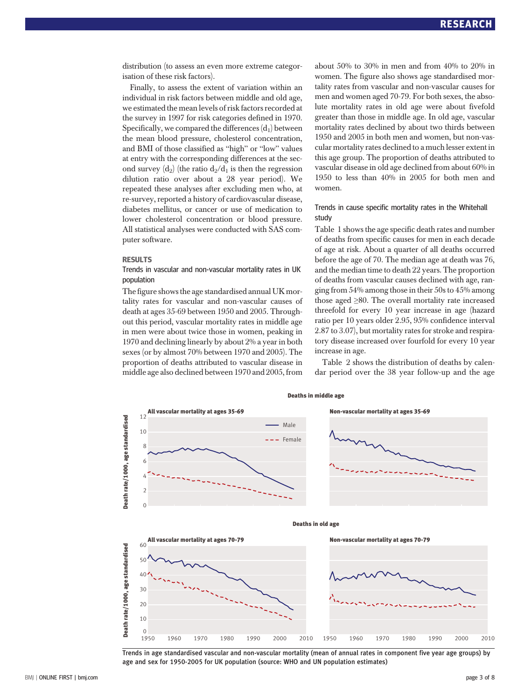distribution (to assess an even more extreme categorisation of these risk factors).

Finally, to assess the extent of variation within an individual in risk factors between middle and old age, we estimated the mean levels of risk factors recorded at the survey in 1997 for risk categories defined in 1970. Specifically, we compared the differences  $(d_1)$  between the mean blood pressure, cholesterol concentration, and BMI of those classified as "high" or "low" values at entry with the corresponding differences at the second survey  $(d_2)$  (the ratio  $d_2/d_1$  is then the regression dilution ratio over about a 28 year period). We repeated these analyses after excluding men who, at re-survey, reported a history of cardiovascular disease, diabetes mellitus, or cancer or use of medication to lower cholesterol concentration or blood pressure. All statistical analyses were conducted with SAS computer software.

#### RESULTS

Trends in vascular and non-vascular mortality rates in UK population

The figure shows the age standardised annual UK mortality rates for vascular and non-vascular causes of death at ages 35-69 between 1950 and 2005. Throughout this period, vascular mortality rates in middle age in men were about twice those in women, peaking in 1970 and declining linearly by about 2% a year in both sexes (or by almost 70% between 1970 and 2005). The proportion of deaths attributed to vascular disease in middle age also declined between 1970 and 2005, from about 50% to 30% in men and from 40% to 20% in women. The figure also shows age standardised mortality rates from vascular and non-vascular causes for men and women aged 70-79. For both sexes, the absolute mortality rates in old age were about fivefold greater than those in middle age. In old age, vascular mortality rates declined by about two thirds between 1950 and 2005 in both men and women, but non-vascular mortality rates declined to a much lesser extent in this age group. The proportion of deaths attributed to vascular disease in old age declined from about 60% in 1950 to less than 40% in 2005 for both men and women.

#### Trends in cause specific mortality rates in the Whitehall study

Table 1 shows the age specific death rates and number of deaths from specific causes for men in each decade of age at risk. About a quarter of all deaths occurred before the age of 70. The median age at death was 76, and the median time to death 22 years. The proportion of deaths from vascular causes declined with age, ranging from 54% among those in their 50s to 45% among those aged  $\geq 80$ . The overall mortality rate increased threefold for every 10 year increase in age (hazard ratio per 10 years older 2.95, 95% confidence interval 2.87 to 3.07), but mortality rates for stroke and respiratory disease increased over fourfold for every 10 year increase in age.

Table 2 shows the distribution of deaths by calendar period over the 38 year follow-up and the age



Trends in age standardised vascular and non-vascular mortality (mean of annual rates in component five year age groups) by age and sex for 1950-2005 for UK population (source: WHO and UN population estimates)

Deaths in middle age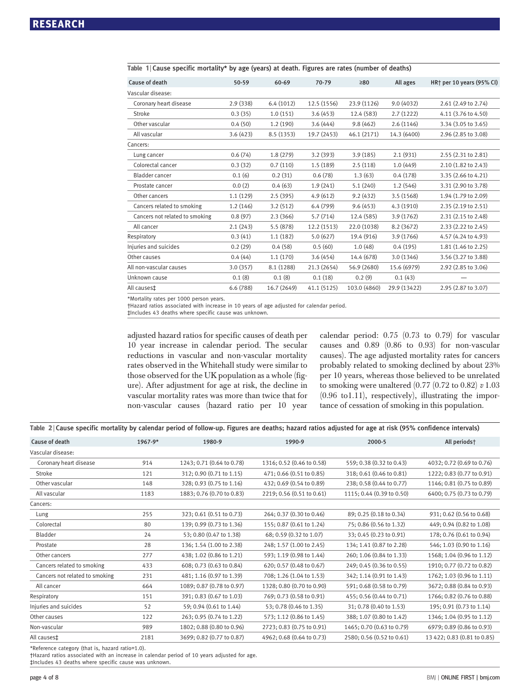| Cause of death                 | 50-59    | 60-69       | 70-79       | $\geq 80$    | All ages     | HR <sup>+</sup> per 10 years (95% CI) |
|--------------------------------|----------|-------------|-------------|--------------|--------------|---------------------------------------|
| Vascular disease:              |          |             |             |              |              |                                       |
| Coronary heart disease         | 2.9(338) | 6.4(1012)   | 12.5 (1556) | 23.9 (1126)  | 9.0(4032)    | 2.61 (2.49 to 2.74)                   |
| Stroke                         | 0.3(35)  | 1.0(151)    | 3.6(453)    | 12.4 (583)   | 2.7(1222)    | 4.11 (3.76 to 4.50)                   |
| Other vascular                 | 0.4(50)  | 1.2(190)    | 3.6(444)    | 9.8(462)     | 2.6(1146)    | 3.34 (3.05 to 3.65)                   |
| All vascular                   | 3.6(423) | 8.5(1353)   | 19.7 (2453) | 46.1 (2171)  | 14.3 (6400)  | 2.96 (2.85 to 3.08)                   |
| Cancers:                       |          |             |             |              |              |                                       |
| Lung cancer                    | 0.6(74)  | 1.8(279)    | 3.2(393)    | 3.9(185)     | 2.1(931)     | 2.55 (2.31 to 2.81)                   |
| Colorectal cancer              | 0.3(32)  | 0.7(110)    | 1.5 (189)   | 2.5(118)     | 1.0(449)     | 2.10 (1.82 to 2.43)                   |
| Bladder cancer                 | 0.1(6)   | 0.2(31)     | 0.6(78)     | 1.3(63)      | 0.4(178)     | 3.35 (2.66 to 4.21)                   |
| Prostate cancer                | 0.0(2)   | 0.4(63)     | 1.9(241)    | 5.1(240)     | 1.2(546)     | 3.31 (2.90 to 3.78)                   |
| Other cancers                  | 1.1(129) | 2.5(395)    | 4.9(612)    | 9.2(432)     | 3.5(1568)    | 1.94 (1.79 to 2.09)                   |
| Cancers related to smoking     | 1.2(146) | 3.2(512)    | 6.4(799)    | 9.6(453)     | 4.3 (1910)   | 2.35 (2.19 to 2.51)                   |
| Cancers not related to smoking | 0.8(97)  | 2.3(366)    | 5.7 (714)   | 12.4 (585)   | 3.9(1762)    | 2.31 (2.15 to 2.48)                   |
| All cancer                     | 2.1(243) | 5.5(878)    | 12.2 (1513) | 22.0 (1038)  | 8.2 (3672)   | 2.33 (2.22 to 2.45)                   |
| Respiratory                    | 0.3(41)  | 1.1(182)    | 5.0(627)    | 19.4 (916)   | 3.9 (1766)   | 4.57 (4.24 to 4.93)                   |
| Injuries and suicides          | 0.2(29)  | 0.4(58)     | 0.5(60)     | 1.0(48)      | 0.4(195)     | 1.81 (1.46 to 2.25)                   |
| Other causes                   | 0.4(44)  | 1.1(170)    | 3.6(454)    | 14.4 (678)   | 3.0 (1346)   | 3.56 (3.27 to 3.88)                   |
| All non-vascular causes        | 3.0(357) | 8.1 (1288)  | 21.3 (2654) | 56.9 (2680)  | 15.6 (6979)  | 2.92 (2.85 to 3.06)                   |
| Unknown cause                  | 0.1(8)   | 0.1(8)      | 0.1(18)     | 0.2(9)       | 0.1(43)      |                                       |
| All causes <sup>±</sup>        | 6.6(788) | 16.7 (2649) | 41.1 (5125) | 103.0 (4860) | 29.9 (13422) | 2.95 (2.87 to 3.07)                   |
|                                |          |             |             |              |              |                                       |

Table 1 | Cause specific mortality\* by age (years) at death. Figures are rates (number of deaths)

\*Mortality rates per 1000 person years.

†Hazard ratios associated with increase in 10 years of age adjusted for calendar period. ‡Includes 43 deaths where specific cause was unknown.

adjusted hazard ratios for specific causes of death per 10 year increase in calendar period. The secular reductions in vascular and non-vascular mortality rates observed in the Whitehall study were similar to those observed for the UK population as a whole (figure). After adjustment for age at risk, the decline in vascular mortality rates was more than twice that for non-vascular causes (hazard ratio per 10 year calendar period: 0.75 (0.73 to 0.79) for vascular causes and 0.89 (0.86 to 0.93) for non-vascular causes). The age adjusted mortality rates for cancers probably related to smoking declined by about 23% per 10 years, whereas those believed to be unrelated to smoking were unaltered  $(0.77 (0.72 \text{ to } 0.82) v 1.03)$ (0.96 to1.11), respectively), illustrating the importance of cessation of smoking in this population.

|  |  |  |  |  | Table 2   Cause specific mortality by calendar period of follow-up. Figures are deaths; hazard ratios adjusted for age at risk (95% confidence intervals) |  |  |
|--|--|--|--|--|-----------------------------------------------------------------------------------------------------------------------------------------------------------|--|--|
|--|--|--|--|--|-----------------------------------------------------------------------------------------------------------------------------------------------------------|--|--|

| Cause of death                 | 1967-9* |                           | 1990-9                    | 2000-5                    | All periods†                |  |
|--------------------------------|---------|---------------------------|---------------------------|---------------------------|-----------------------------|--|
| Vascular disease:              |         |                           |                           |                           |                             |  |
| Coronary heart disease         | 914     | 1243; 0.71 (0.64 to 0.78) | 1316; 0.52 (0.46 to 0.58) | 559; 0.38 (0.32 to 0.43)  | 4032; 0.72 (0.69 to 0.76)   |  |
| Stroke                         | 121     | 312; 0.90 (0.71 to 1.15)  | 471; 0.66 (0.51 to 0.85)  | 318; 0.61 (0.46 to 0.81)  | 1222; 0.83 (0.77 to 0.91)   |  |
| Other vascular                 | 148     | 328; 0.93 (0.75 to 1.16)  | 432; 0.69 (0.54 to 0.89)  | 238; 0.58 (0.44 to 0.77)  | 1146; 0.81 (0.75 to 0.89)   |  |
| All vascular                   | 1183    | 1883; 0.76 (0.70 to 0.83) | 2219; 0.56 (0.51 to 0.61) | 1115; 0.44 (0.39 to 0.50) | 6400; 0.75 (0.73 to 0.79)   |  |
| Cancers:                       |         |                           |                           |                           |                             |  |
| Lung                           | 255     | 323; 0.61 (0.51 to 0.73)  | 264; 0.37 (0.30 to 0.46)  | 89; 0.25 (0.18 to 0.34)   | 931; 0.62 (0.56 to 0.68)    |  |
| Colorectal                     | 80      | 139; 0.99 (0.73 to 1.36)  | 155; 0.87 (0.61 to 1.24)  | 75; 0.86 (0.56 to 1.32)   | 449; 0.94 (0.82 to 1.08)    |  |
| Bladder                        | 24      | 53; 0.80 (0.47 to 1.38)   | 68; 0.59 (0.32 to 1.07)   | 33; 0.45 (0.23 to 0.91)   | 178; 0.76 (0.61 to 0.94)    |  |
| Prostate                       | 28      | 136; 1.54 (1.00 to 2.38)  | 248; 1.57 (1.00 to 2.45)  | 134; 1.41 (0.87 to 2.28)  | 546; 1.03 (0.90 to 1.16)    |  |
| Other cancers                  | 277     | 438; 1.02 (0.86 to 1.21)  | 593; 1.19 (0.98 to 1.44)  | 260; 1.06 (0.84 to 1.33)  | 1568; 1.04 (0.96 to 1.12)   |  |
| Cancers related to smoking     | 433     | 608; 0.73 (0.63 to 0.84)  | 620; 0.57 (0.48 to 0.67)  | 249; 0.45 (0.36 to 0.55)  | 1910; 0.77 (0.72 to 0.82)   |  |
| Cancers not related to smoking | 231     | 481; 1.16 (0.97 to 1.39)  | 708; 1.26 (1.04 to 1.53)  | 342; 1.14 (0.91 to 1.43)  | 1762; 1.03 (0.96 to 1.11)   |  |
| All cancer                     | 664     | 1089; 0.87 (0.78 to 0.97) | 1328; 0.80 (0.70 to 0.90) | 591; 0.68 (0.58 to 0.79)  | 3672; 0.88 (0.84 to 0.93)   |  |
| Respiratory                    | 151     | 391; 0.83 (0.67 to 1.03)  | 769; 0.73 (0.58 to 0.91)  | 455; 0.56 (0.44 to 0.71)  | 1766; 0.82 (0.76 to 0.88)   |  |
| Injuries and suicides          | 52      | 59; 0.94 (0.61 to 1.44)   | 53; 0.78 (0.46 to 1.35)   | 31; 0.78 (0.40 to 1.53)   | 195; 0.91 (0.73 to 1.14)    |  |
| Other causes                   | 122     | 263; 0.95 (0.74 to 1.22)  | 573; 1.12 (0.86 to 1.45)  | 388; 1.07 (0.80 to 1.42)  | 1346; 1.04 (0.95 to 1.12)   |  |
| Non-vascular                   | 989     | 1802; 0.88 (0.80 to 0.96) | 2723; 0.83 (0.75 to 0.91) | 1465; 0.70 (0.63 to 0.79) | 6979; 0.89 (0.86 to 0.93)   |  |
| All causes‡                    | 2181    | 3699; 0.82 (0.77 to 0.87) | 4962; 0.68 (0.64 to 0.73) | 2580; 0.56 (0.52 to 0.61) | 13 422; 0.83 (0.81 to 0.85) |  |

\*Reference category (that is, hazard ratio=1.0).

†Hazard ratios associated with an increase in calendar period of 10 years adjusted for age. ‡Includes 43 deaths where specific cause was unknown.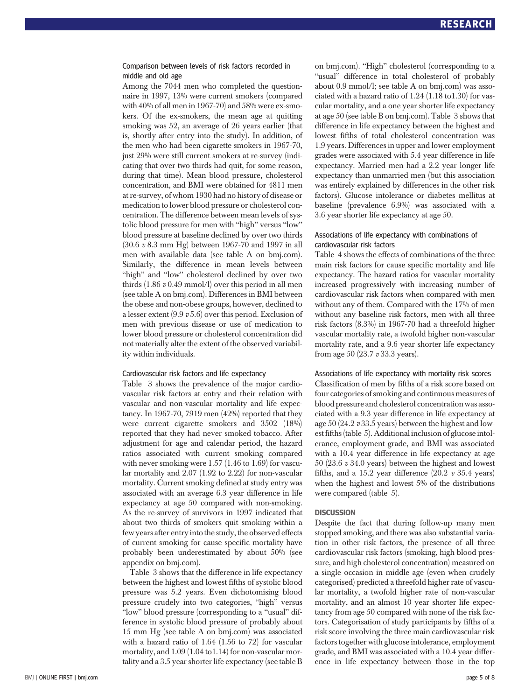#### Comparison between levels of risk factors recorded in middle and old age

Among the 7044 men who completed the questionnaire in 1997, 13% were current smokers (compared with 40% of all men in 1967-70) and 58% were ex-smokers. Of the ex-smokers, the mean age at quitting smoking was 52, an average of 26 years earlier (that is, shortly after entry into the study). In addition, of the men who had been cigarette smokers in 1967-70, just 29% were still current smokers at re-survey (indicating that over two thirds had quit, for some reason, during that time). Mean blood pressure, cholesterol concentration, and BMI were obtained for 4811 men at re-survey, of whom 1930 had no history of disease or medication to lower blood pressure or cholesterol concentration. The difference between mean levels of systolic blood pressure for men with "high" versus "low" blood pressure at baseline declined by over two thirds (30.6 v 8.3 mm Hg) between 1967-70 and 1997 in all men with available data (see table A on bmj.com). Similarly, the difference in mean levels between "high" and "low" cholesterol declined by over two thirds  $(1.86 v 0.49 mmol/l)$  over this period in all men (see table A on bmj.com). Differences in BMI between the obese and non-obese groups, however, declined to a lesser extent (9.9 v 5.6) over this period. Exclusion of men with previous disease or use of medication to lower blood pressure or cholesterol concentration did not materially alter the extent of the observed variability within individuals.

#### Cardiovascular risk factors and life expectancy

Table 3 shows the prevalence of the major cardiovascular risk factors at entry and their relation with vascular and non-vascular mortality and life expectancy. In 1967-70, 7919 men (42%) reported that they were current cigarette smokers and 3502 (18%) reported that they had never smoked tobacco. After adjustment for age and calendar period, the hazard ratios associated with current smoking compared with never smoking were 1.57 (1.46 to 1.69) for vascular mortality and 2.07 (1.92 to 2.22) for non-vascular mortality. Current smoking defined at study entry was associated with an average 6.3 year difference in life expectancy at age 50 compared with non-smoking. As the re-survey of survivors in 1997 indicated that about two thirds of smokers quit smoking within a few years after entry into the study, the observed effects of current smoking for cause specific mortality have probably been underestimated by about 50% (see appendix on bmj.com).

Table 3 shows that the difference in life expectancy between the highest and lowest fifths of systolic blood pressure was 5.2 years. Even dichotomising blood pressure crudely into two categories, "high" versus "low" blood pressure (corresponding to a "usual" difference in systolic blood pressure of probably about 15 mm Hg (see table A on bmj.com) was associated with a hazard ratio of 1.64 (1.56 to 72) for vascular mortality, and 1.09 (1.04 to1.14) for non-vascular mortality and a 3.5 year shorter life expectancy (see table B on bmj.com). "High" cholesterol (corresponding to a "usual" difference in total cholesterol of probably about 0.9 mmol/l; see table A on bmj.com) was associated with a hazard ratio of 1.24 (1.18 to1.30) for vascular mortality, and a one year shorter life expectancy at age 50 (see table B on bmj.com). Table 3 shows that difference in life expectancy between the highest and lowest fifths of total cholesterol concentration was 1.9 years. Differences in upper and lower employment grades were associated with 5.4 year difference in life expectancy. Married men had a 2.2 year longer life expectancy than unmarried men (but this association was entirely explained by differences in the other risk factors). Glucose intolerance or diabetes mellitus at baseline (prevalence 6.9%) was associated with a 3.6 year shorter life expectancy at age 50.

#### Associations of life expectancy with combinations of cardiovascular risk factors

Table 4 shows the effects of combinations of the three main risk factors for cause specific mortality and life expectancy. The hazard ratios for vascular mortality increased progressively with increasing number of cardiovascular risk factors when compared with men without any of them. Compared with the 17% of men without any baseline risk factors, men with all three risk factors (8.3%) in 1967-70 had a threefold higher vascular mortality rate, a twofold higher non-vascular mortality rate, and a 9.6 year shorter life expectancy from age 50 (23.7 v 33.3 years).

#### Associations of life expectancy with mortality risk scores

Classification of men by fifths of a risk score based on four categories of smoking and continuous measures of blood pressure and cholesterol concentration was associated with a 9.3 year difference in life expectancy at age 50 (24.2  $v$  33.5 years) between the highest and lowest fifths (table 5). Additional inclusion of glucose intolerance, employment grade, and BMI was associated with a 10.4 year difference in life expectancy at age 50 (23.6 v 34.0 years) between the highest and lowest fifths, and a 15.2 year difference  $(20.2 \text{ v } 35.4 \text{ years})$ when the highest and lowest 5% of the distributions were compared (table 5).

#### **DISCUSSION**

Despite the fact that during follow-up many men stopped smoking, and there was also substantial variation in other risk factors, the presence of all three cardiovascular risk factors (smoking, high blood pressure, and high cholesterol concentration) measured on a single occasion in middle age (even when crudely categorised) predicted a threefold higher rate of vascular mortality, a twofold higher rate of non-vascular mortality, and an almost 10 year shorter life expectancy from age 50 compared with none of the risk factors. Categorisation of study participants by fifths of a risk score involving the three main cardiovascular risk factors together with glucose intolerance, employment grade, and BMI was associated with a 10.4 year difference in life expectancy between those in the top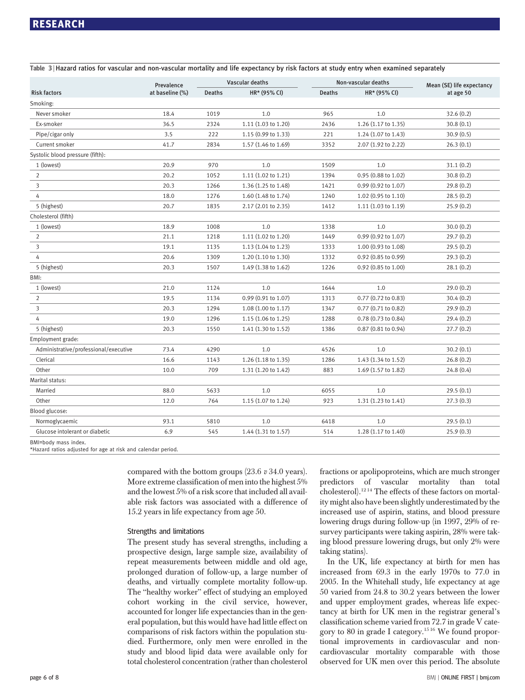|                                       | Prevalence      | Vascular deaths |                               |               | Non-vascular deaths           | Mean (SE) life expectancy |
|---------------------------------------|-----------------|-----------------|-------------------------------|---------------|-------------------------------|---------------------------|
| <b>Risk factors</b>                   | at baseline (%) | Deaths          | HR* (95% CI)                  | <b>Deaths</b> | HR* (95% CI)                  | at age 50                 |
| Smoking:                              |                 |                 |                               |               |                               |                           |
| Never smoker                          | 18.4            | 1019            | 1.0                           | 965           | 1.0                           | 32.6(0.2)                 |
| Ex-smoker                             | 36.5            | 2324            | 1.11 (1.03 to 1.20)           | 2436          | 1.26 (1.17 to 1.35)           | 30.8(0.1)                 |
| Pipe/cigar only                       | 3.5             | 222             | 1.15 (0.99 to 1.33)           | 221           | 1.24 (1.07 to 1.43)           | 30.9(0.5)                 |
| Current smoker                        | 41.7            | 2834            | 1.57 (1.46 to 1.69)           | 3352          | 2.07 (1.92 to 2.22)           | 26.3(0.1)                 |
| Systolic blood pressure (fifth):      |                 |                 |                               |               |                               |                           |
| 1 (lowest)                            | 20.9            | 970             | 1.0                           | 1509          | 1.0                           | 31.1(0.2)                 |
| $\overline{2}$                        | 20.2            | 1052            | 1.11 (1.02 to 1.21)           | 1394          | 0.95 (0.88 to 1.02)           | 30.8(0.2)                 |
| 3                                     | 20.3            | 1266            | 1.36 (1.25 to 1.48)           | 1421          | $0.99(0.92 \text{ to } 1.07)$ | 29.8(0.2)                 |
| 4                                     | 18.0            | 1276            | 1.60 (1.48 to 1.74)           | 1240          | 1.02 (0.95 to 1.10)           | 28.5(0.2)                 |
| 5 (highest)                           | 20.7            | 1835            | $2.17(2.01 \text{ to } 2.35)$ | 1412          | 1.11(1.03 to 1.19)            | 25.9(0.2)                 |
| Cholesterol (fifth)                   |                 |                 |                               |               |                               |                           |
| 1 (lowest)                            | 18.9            | 1008            | 1.0                           | 1338          | 1.0                           | 30.0(0.2)                 |
| $\overline{2}$                        | 21.1            | 1218            | 1.11 (1.02 to 1.20)           | 1449          | 0.99 (0.92 to 1.07)           | 29.7(0.2)                 |
| 3                                     | 19.1            | 1135            | $1.13(1.04 \text{ to } 1.23)$ | 1333          | 1.00 (0.93 to 1.08)           | 29.5(0.2)                 |
| 4                                     | 20.6            | 1309            | 1.20 (1.10 to 1.30)           | 1332          | 0.92 (0.85 to 0.99)           | 29.3(0.2)                 |
| 5 (highest)                           | 20.3            | 1507            | 1.49 (1.38 to 1.62)           | 1226          | 0.92 (0.85 to 1.00)           | 28.1(0.2)                 |
| BMI:                                  |                 |                 |                               |               |                               |                           |
| 1 (lowest)                            | 21.0            | 1124            | 1.0                           | 1644          | 1.0                           | 29.0(0.2)                 |
| $\overline{2}$                        | 19.5            | 1134            | 0.99 (0.91 to 1.07)           | 1313          | 0.77 (0.72 to 0.83)           | 30.4(0.2)                 |
| 3                                     | 20.3            | 1294            | 1.08 (1.00 to 1.17)           | 1347          | $0.77$ $(0.71$ to $0.82)$     | 29.9(0.2)                 |
| 4                                     | 19.0            | 1296            | 1.15 (1.06 to 1.25)           | 1288          | $0.78(0.73 \text{ to } 0.84)$ | 29.4(0.2)                 |
| 5 (highest)                           | 20.3            | 1550            | 1.41 (1.30 to 1.52)           | 1386          | 0.87 (0.81 to 0.94)           | 27.7(0.2)                 |
| Employment grade:                     |                 |                 |                               |               |                               |                           |
| Administrative/professional/executive | 73.4            | 4290            | 1.0                           | 4526          | 1.0                           | 30.2(0.1)                 |
| Clerical                              | 16.6            | 1143            | 1.26 (1.18 to 1.35)           | 1286          | 1.43 (1.34 to 1.52)           | 26.8(0.2)                 |
| Other                                 | 10.0            | 709             | 1.31 (1.20 to 1.42)           | 883           | 1.69 (1.57 to 1.82)           | 24.8(0.4)                 |
| Marital status:                       |                 |                 |                               |               |                               |                           |
| Married                               | 88.0            | 5633            | 1.0                           | 6055          | 1.0                           | 29.5(0.1)                 |
| Other                                 | 12.0            | 764             | 1.15 (1.07 to 1.24)           | 923           | 1.31 (1.23 to 1.41)           | 27.3(0.3)                 |
| Blood glucose:                        |                 |                 |                               |               |                               |                           |
| Normoglycaemic                        | 93.1            | 5810            | 1.0                           | 6418          | 1.0                           | 29.5(0.1)                 |
| Glucose intolerant or diabetic        | 6.9             | 545             | 1.44 (1.31 to 1.57)           | 514           | 1.28 (1.17 to 1.40)           | 25.9(0.3)                 |
|                                       |                 |                 |                               |               |                               |                           |

Table 3 <sup>|</sup> Hazard ratios for vascular and non-vascular mortality and life expectancy by risk factors at study entry when examined separately

BMI=body mass index.

\*Hazard ratios adjusted for age at risk and calendar period.

compared with the bottom groups (23.6 v 34.0 years). More extreme classification of men into the highest 5% and the lowest 5% of a risk score that included all available risk factors was associated with a difference of 15.2 years in life expectancy from age 50.

#### Strengths and limitations

The present study has several strengths, including a prospective design, large sample size, availability of repeat measurements between middle and old age, prolonged duration of follow-up, a large number of deaths, and virtually complete mortality follow-up. The "healthy worker" effect of studying an employed cohort working in the civil service, however, accounted for longer life expectancies than in the general population, but this would have had little effect on comparisons of risk factors within the population studied. Furthermore, only men were enrolled in the study and blood lipid data were available only for total cholesterol concentration (rather than cholesterol fractions or apolipoproteins, which are much stronger predictors of vascular mortality than total cholesterol).12 14 The effects of these factors on mortality might also have been slightly underestimated by the increased use of aspirin, statins, and blood pressure lowering drugs during follow-up (in 1997, 29% of resurvey participants were taking aspirin, 28% were taking blood pressure lowering drugs, but only 2% were taking statins).

In the UK, life expectancy at birth for men has increased from 69.3 in the early 1970s to 77.0 in 2005. In the Whitehall study, life expectancy at age 50 varied from 24.8 to 30.2 years between the lower and upper employment grades, whereas life expectancy at birth for UK men in the registrar general's classification scheme varied from 72.7 in grade V category to 80 in grade I category.15 16 We found proportional improvements in cardiovascular and noncardiovascular mortality comparable with those observed for UK men over this period. The absolute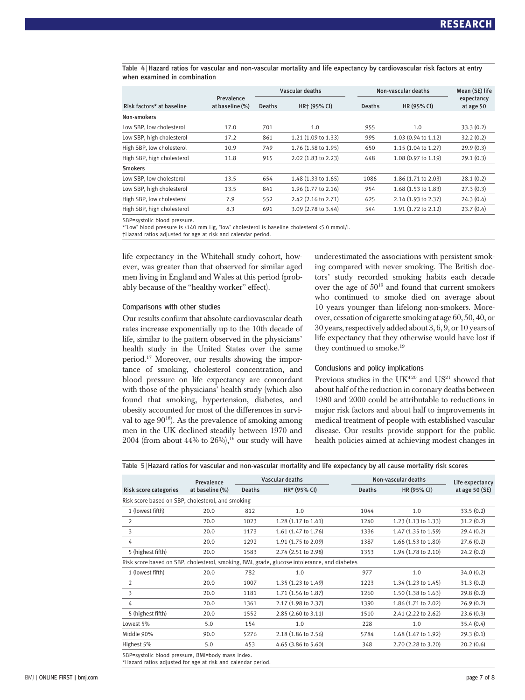Table 4 <sup>|</sup> Hazard ratios for vascular and non-vascular mortality and life expectancy by cardiovascular risk factors at entry when examined in combination

|                            |                               | Vascular deaths |                     |               | Non-vascular deaths |                         |
|----------------------------|-------------------------------|-----------------|---------------------|---------------|---------------------|-------------------------|
| Risk factors* at baseline  | Prevalence<br>at baseline (%) | <b>Deaths</b>   | HR+ (95% CI)        | <b>Deaths</b> | HR (95% CI)         | expectancy<br>at age 50 |
| Non-smokers                |                               |                 |                     |               |                     |                         |
| Low SBP, low cholesterol   | 17.0                          | 701             | 1.0                 | 955           | 1.0                 | 33.3(0.2)               |
| Low SBP, high cholesterol  | 17.2                          | 861             | 1.21 (1.09 to 1.33) | 995           | 1.03 (0.94 to 1.12) | 32.2(0.2)               |
| High SBP, low cholesterol  | 10.9                          | 749             | 1.76 (1.58 to 1.95) | 650           | 1.15 (1.04 to 1.27) | 29.9(0.3)               |
| High SBP, high cholesterol | 11.8                          | 915             | 2.02 (1.83 to 2.23) | 648           | 1.08 (0.97 to 1.19) | 29.1(0.3)               |
| <b>Smokers</b>             |                               |                 |                     |               |                     |                         |
| Low SBP, low cholesterol   | 13.5                          | 654             | 1.48 (1.33 to 1.65) | 1086          | 1.86 (1.71 to 2.03) | 28.1(0.2)               |
| Low SBP, high cholesterol  | 13.5                          | 841             | 1.96 (1.77 to 2.16) | 954           | 1.68 (1.53 to 1.83) | 27.3(0.3)               |
| High SBP, low cholesterol  | 7.9                           | 552             | 2.42 (2.16 to 2.71) | 625           | 2.14 (1.93 to 2.37) | 24.3(0.4)               |
| High SBP, high cholesterol | 8.3                           | 691             | 3.09 (2.78 to 3.44) | 544           | 1.91 (1.72 to 2.12) | 23.7(0.4)               |

SBP=systolic blood pressure.

\*"Low" blood pressure is <140 mm Hg, "low" cholesterol is baseline cholesterol <5.0 mmol/l. †Hazard ratios adjusted for age at risk and calendar period.

life expectancy in the Whitehall study cohort, however, was greater than that observed for similar aged men living in England and Wales at this period (probably because of the "healthy worker" effect).

#### Comparisons with other studies

Our results confirm that absolute cardiovascular death rates increase exponentially up to the 10th decade of life, similar to the pattern observed in the physicians' health study in the United States over the same period.17 Moreover, our results showing the importance of smoking, cholesterol concentration, and blood pressure on life expectancy are concordant with those of the physicians' health study (which also found that smoking, hypertension, diabetes, and obesity accounted for most of the differences in survival to age 9018). As the prevalence of smoking among men in the UK declined steadily between 1970 and 2004 (from about 44% to  $26\%$ ),<sup>16</sup> our study will have underestimated the associations with persistent smoking compared with never smoking. The British doctors' study recorded smoking habits each decade over the age of 5019 and found that current smokers who continued to smoke died on average about 10 years younger than lifelong non-smokers. Moreover, cessation of cigarette smoking at age 60, 50, 40, or 30 years, respectively added about 3, 6, 9, or 10 years of life expectancy that they otherwise would have lost if they continued to smoke.<sup>19</sup>

#### Conclusions and policy implications

Previous studies in the  $I/K<sup>420</sup>$  and  $I/S<sup>21</sup>$  showed that about half of the reduction in coronary deaths between 1980 and 2000 could be attributable to reductions in major risk factors and about half to improvements in medical treatment of people with established vascular disease. Our results provide support for the public health policies aimed at achieving modest changes in

Table 5 <sup>|</sup> Hazard ratios for vascular and non-vascular mortality and life expectancy by all cause mortality risk scores

|                                                   | Prevalence      |                                 | Vascular deaths                                                                              |               | Non-vascular deaths           |                                    |  |
|---------------------------------------------------|-----------------|---------------------------------|----------------------------------------------------------------------------------------------|---------------|-------------------------------|------------------------------------|--|
| Risk score categories                             | at baseline (%) | $HR* (95% CI)$<br><b>Deaths</b> |                                                                                              | <b>Deaths</b> | HR (95% CI)                   | Life expectancy<br>at age $50(SE)$ |  |
| Risk score based on SBP, cholesterol, and smoking |                 |                                 |                                                                                              |               |                               |                                    |  |
| 1 (lowest fifth)                                  | 20.0            | 812                             | 1.0                                                                                          | 1044          | 1.0                           | 33.5(0.2)                          |  |
| $\overline{2}$                                    | 20.0            | 1023                            | 1.28 (1.17 to 1.41)                                                                          | 1240          | $1.23(1.13 \text{ to } 1.33)$ | 31.2(0.2)                          |  |
| 3                                                 | 20.0            | 1173                            | 1.61 (1.47 to 1.76)                                                                          | 1336          | 1.47 (1.35 to 1.59)           | 29.4(0.2)                          |  |
| 4                                                 | 20.0            | 1292                            | 1.91 (1.75 to 2.09)                                                                          | 1387          | 1.66 (1.53 to 1.80)           | 27.6(0.2)                          |  |
| 5 (highest fifth)                                 | 20.0            | 1583                            | 2.74 (2.51 to 2.98)                                                                          | 1353          | 1.94 (1.78 to 2.10)           | 24.2(0.2)                          |  |
|                                                   |                 |                                 | Risk score based on SBP, cholesterol, smoking, BMI, grade, glucose intolerance, and diabetes |               |                               |                                    |  |
| 1 (lowest fifth)                                  | 20.0            | 782                             | 1.0                                                                                          | 977           | 1.0                           | 34.0(0.2)                          |  |
| $\overline{2}$                                    | 20.0            | 1007                            | 1.35 (1.23 to 1.49)                                                                          | 1223          | $1.34(1.23 \text{ to } 1.45)$ | 31.3(0.2)                          |  |
| 3                                                 | 20.0            | 1181                            | 1.71 (1.56 to 1.87)                                                                          | 1260          | $1.50(1.38 \text{ to } 1.63)$ | 29.8(0.2)                          |  |
| 4                                                 | 20.0            | 1361                            | 2.17 (1.98 to 2.37)                                                                          | 1390          | 1.86 (1.71 to 2.02)           | 26.9(0.2)                          |  |
| 5 (highest fifth)                                 | 20.0            | 1552                            | 2.85 (2.60 to 3.11)                                                                          | 1510          | 2.41 (2.22 to 2.62)           | 23.6(0.3)                          |  |
| Lowest 5%                                         | 5.0             | 154                             | 1.0                                                                                          | 228           | 1.0                           | 35.4(0.4)                          |  |
| Middle 90%                                        | 90.0            | 5276                            | 2.18 (1.86 to 2.56)                                                                          | 5784          | 1.68 (1.47 to 1.92)           | 29.3(0.1)                          |  |
| Highest 5%                                        | 5.0             | 453                             | 4.65 (3.86 to 5.60)                                                                          | 348           | 2.70 (2.28 to 3.20)           | 20.2(0.6)                          |  |

SBP=systolic blood pressure, BMI=body mass index. \*Hazard ratios adjusted for age at risk and calendar period.